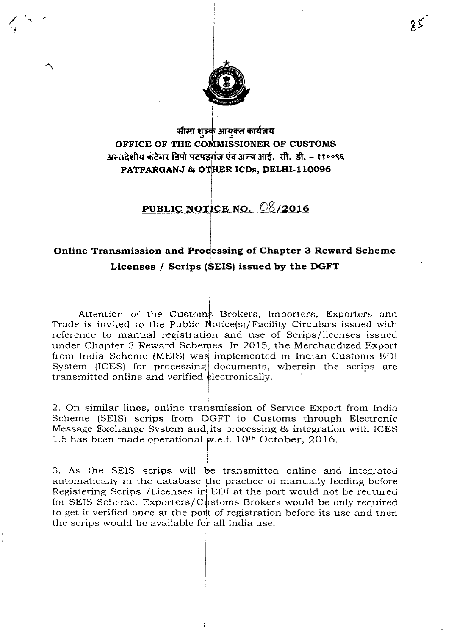

## सीमा शुल्क आयुक्त कार्यलय **OFFICE OF THE .•,.•..u•..•..,.,""•."NER OF CUSTOMS** अन्तदेशीय कंटेनर डिपो पटपड़गंज एंव अन्य आई. सी. डी. – ११००९६ **PATPARGANJ & ICDs, DELHI-II0096**

## PUBLIC NOTICE NO. 08/2016

## **Online Transmission and Processing of Chapter 3 Reward Scheme Licenses** *I* **Scrips (......••. ,•....) issued by the DGFT**

Attention of the Customs Brokers, Importers, Exporters and Trade is invited to the Public Notice(s)/Facility Circulars issued with reference to manual registration and use of Scrips/licenses issued under Chapter 3 Reward Schemes. In 2015, the Merchandized Export from India Scheme (MEIS) was implemented in Indian Customs EDI System (ICES) for processing documents, wherein the scrips are transmitted online and verified electronically.

2. On similar lines, online transmission of Service Export from India Scheme (SEIS) scrips from  $\Delta GFT$  to Customs through Electronic Message Exchange System and its processing & integration with ICES 1.5 has been made operational w.e.f. 10<sup>th</sup> October, 2016.

3. As the SEIS scrips will  $\mathfrak{b}$ e transmitted online and integrated automatically in the database the practice of manually feeding before Registering Scrips /Licenses in EDI at the port would not be required for SEIS Scheme. Exporters/Customs Brokers would be only required to get it verified once at the port of registration before its use and ther the scrips would be available for all India use.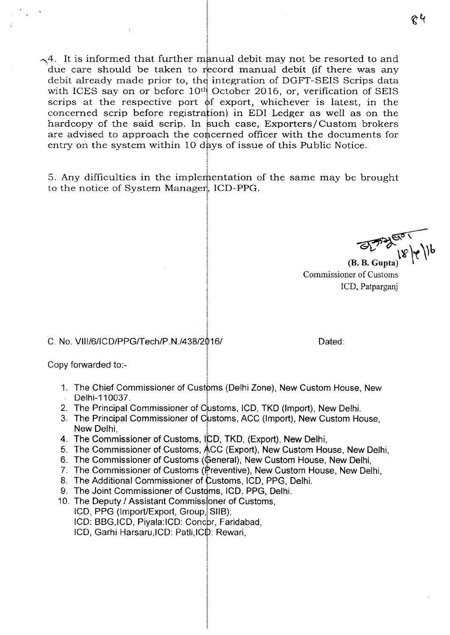$\sim$  4. It is informed that further manual debit may not be resorted to and due care should be taken to record manual debit (if there was any debit already made prior to, the integration of DGFT-SEIS Scrips data with ICES say on or before  $10<sup>th</sup>$  October 2016, or, verification of SEIS scrips at the respective port of export, whichever is latest, in the concerned scrip before registration) in EDI Ledger as well as on the hardcopy of the said scrip. In such case, Exporters/Custom brokers are advised to approach the concerned officer with the documents for entry on the system within 10 days of issue of this Public Notice.

5. Any difficulties in the implementation of the same may be brought to the notice of System Manager, ICD-PPG.

~  $\mathbb{E}[\mathcal{L}^{\prime\prime}]\mathcal{L}$ 

Commissioner of Customs lCD, Patparganj

## C. No. VIl1/6/ICD/PPGffech/P.N.l438/2 *161* Dated:

Copy forwarded to:-

- 1. The Chief Commissioner of Customs (Delhi Zone), New Custom House, New Delhi-110037.
- 2. The Principal Commissioner of Customs, lCD, TKD (Import), New Delhi.
- 3. The Principal Commissioner of Customs, ACC (Import), New Custom House, New Delhi,
- 4. The Commissioner of Customs, ICD, TKD, (Export), New Delhi,
- 5. The Commissioner of Customs, ACC (Export), New Custom House, New Delhi,
- 6. The Commissioner of Customs (General), New Custom House, New Delhi,
- 7. The Commissioner of Customs (Preventive), New Custom House, New Delhi,
- 8. The Additional Commissioner of Customs, ICD, PPG, Delhi.
- 9. The Joint Commissioner of Customs, ICD, PPG, Delhi.
- 10. The Deputy / Assistant Commissioner of Customs,
	- ICD, PPG (Import/Export, Group, SIIB);
	- ICD: BBG,ICD, Piyala:ICD: Concor, Faridabad,
	- ICD, Garhi Harsaru, ICD: Patli, ICD: Rewari,